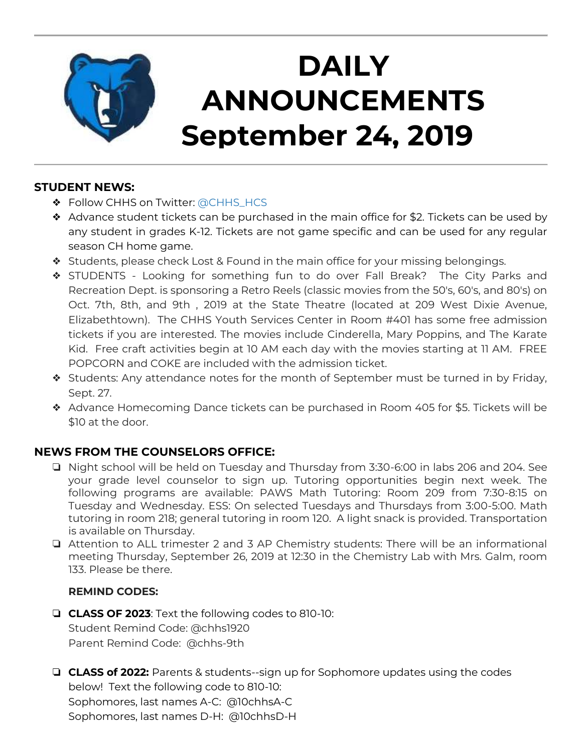

# **DAILY ANNOUNCEMENTS September 24, 2019**

## **STUDENT NEWS:**

- ❖ Follow CHHS on Twitter: [@CHHS\\_HCS](https://twitter.com/CHHS_HCS)
- ❖ Advance student tickets can be purchased in the main office for \$2. Tickets can be used by any student in grades K-12. Tickets are not game specific and can be used for any regular season CH home game.
- ❖ Students, please check Lost & Found in the main office for your missing belongings.
- ❖ STUDENTS Looking for something fun to do over Fall Break? The City Parks and Recreation Dept. is sponsoring a Retro Reels (classic movies from the 50's, 60's, and 80's) on Oct. 7th, 8th, and 9th , 2019 at the State Theatre (located at 209 West Dixie Avenue, Elizabethtown). The CHHS Youth Services Center in Room #401 has some free admission tickets if you are interested. The movies include Cinderella, Mary Poppins, and The Karate Kid. Free craft activities begin at 10 AM each day with the movies starting at 11 AM. FREE POPCORN and COKE are included with the admission ticket.
- ❖ Students: Any attendance notes for the month of September must be turned in by Friday, Sept. 27.
- ❖ Advance Homecoming Dance tickets can be purchased in Room 405 for \$5. Tickets will be \$10 at the door.

# **NEWS FROM THE COUNSELORS OFFICE:**

- ❏ Night school will be held on Tuesday and Thursday from 3:30-6:00 in labs 206 and 204. See your grade level counselor to sign up. Tutoring opportunities begin next week. The following programs are available: PAWS Math Tutoring: Room 209 from 7:30-8:15 on Tuesday and Wednesday. ESS: On selected Tuesdays and Thursdays from 3:00-5:00. Math tutoring in room 218; general tutoring in room 120. A light snack is provided. Transportation is available on Thursday.
- ❏ Attention to ALL trimester 2 and 3 AP Chemistry students: There will be an informational meeting Thursday, September 26, 2019 at 12:30 in the Chemistry Lab with Mrs. Galm, room 133. Please be there.

#### **REMIND CODES:**

- ❏ **CLASS OF 2023**: Text the following codes to 810-10: Student Remind Code: @chhs1920 Parent Remind Code: @chhs-9th
- ❏ **CLASS of 2022:** Parents & students--sign up for Sophomore updates using the codes below! Text the following code to 810-10: Sophomores, last names A-C: @10chhsA-C Sophomores, last names D-H: @10chhsD-H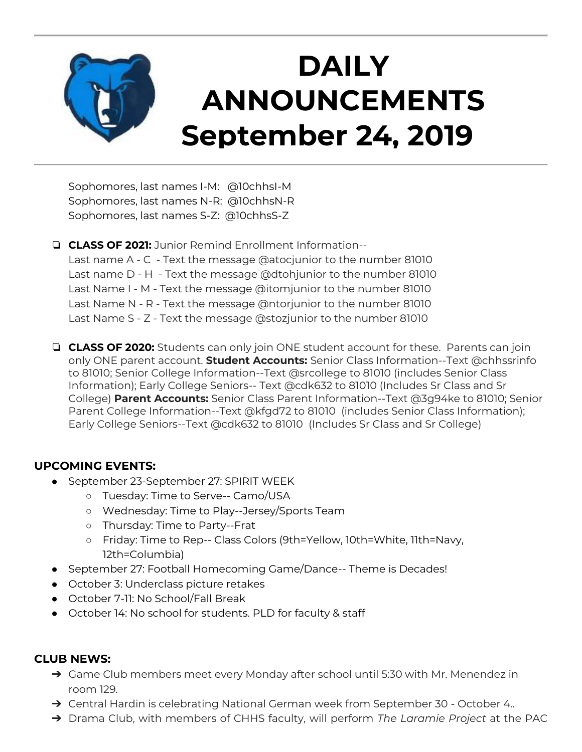

Sophomores, last names I-M: @10chhsI-M Sophomores, last names N-R: @10chhsN-R Sophomores, last names S-Z: @10chhsS-Z

❏ **CLASS OF 2021:** Junior Remind Enrollment Information-- Last name A - C - Text the message @atocjunior to the number 81010 Last name D - H - Text the message @dtohjunior to the number 81010 Last Name I - M - Text the message @itomjunior to the number 81010 Last Name N - R - Text the message @ntorjunior to the number 81010 Last Name S - Z - Text the message @stozjunior to the number 81010

❏ **CLASS OF 2020:** Students can only join ONE student account for these. Parents can join only ONE parent account. **Student Accounts:** Senior Class Information--Text @chhssrinfo to 81010; Senior College Information--Text @srcollege to 81010 (includes Senior Class Information); Early College Seniors-- Text @cdk632 to 81010 (Includes Sr Class and Sr College) **Parent Accounts:** Senior Class Parent Information--Text @3g94ke to 81010; Senior Parent College Information--Text @kfgd72 to 81010 (includes Senior Class Information); Early College Seniors--Text @cdk632 to 81010 (Includes Sr Class and Sr College)

## **UPCOMING EVENTS:**

- September 23-September 27: SPIRIT WEEK
	- Tuesday: Time to Serve-- Camo/USA
	- Wednesday: Time to Play--Jersey/Sports Team
	- Thursday: Time to Party--Frat
	- Friday: Time to Rep-- Class Colors (9th=Yellow, 10th=White, 11th=Navy, 12th=Columbia)
- September 27: Football Homecoming Game/Dance-- Theme is Decades!
- October 3: Underclass picture retakes
- October 7-11: No School/Fall Break
- October 14: No school for students. PLD for faculty & staff

#### **CLUB NEWS:**

- ➔ Game Club members meet every Monday after school until 5:30 with Mr. Menendez in room 129.
- → Central Hardin is celebrating National German week from September 30 October 4..
- ➔ Drama Club, with members of CHHS faculty, will perform *The Laramie Project* at the PAC